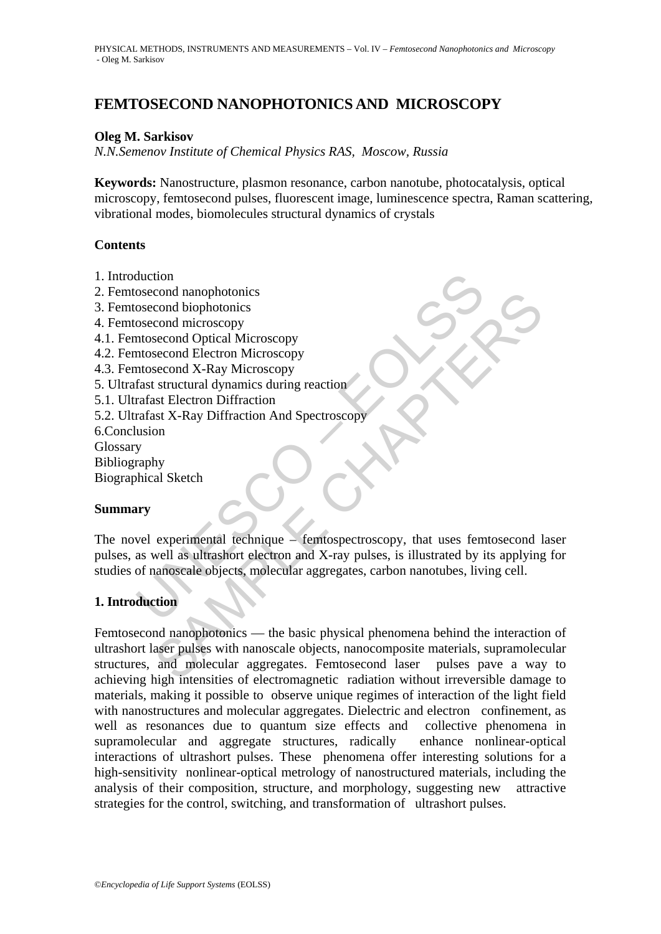# **FEMTOSECOND NANOPHOTONICS AND MICROSCOPY**

### **Oleg M. Sarkisov**

*N.N.Semenov Institute of Chemical Physics RAS, Moscow, Russia* 

**Keywords:** Nanostructure, plasmon resonance, carbon nanotube, photocatalysis, optical microscopy, femtosecond pulses, fluorescent image, luminescence spectra, Raman scattering, vibrational modes, biomolecules structural dynamics of crystals

### **Contents**

- 1. Introduction
- 2. Femtosecond nanophotonics
- 3. Femtosecond biophotonics
- 4. Femtosecond microscopy
- 4.1. Femtosecond Optical Microscopy
- 4.2. Femtosecond Electron Microscopy
- 4.3. Femtosecond X-Ray Microscopy
- 5. Ultrafast structural dynamics during reaction
- 5.1. Ultrafast Electron Diffraction
- 5.2. Ultrafast X-Ray Diffraction And Spectroscopy
- 6.Conclusion
- Glossary
- Bibliography

Biographical Sketch

### **Summary**

duction<br>
osecond nanophotonics<br>
osecond biophotonics<br>
osecond microscopy<br>
intosecond Optical Microscopy<br>
intosecond K-Ray Microscopy<br>
intosecond X-Ray Microscopy<br>
are structural dynamics during reaction<br>
arafast Electron D The novel experimental technique – femtospectroscopy, that uses femtosecond laser pulses, as well as ultrashort electron and X-ray pulses, is illustrated by its applying for studies of nanoscale objects, molecular aggregates, carbon nanotubes, living cell.

## **1. Introduction**

cond nanophotonics<br>
cond biophotonics<br>
cond biophotonics<br>
econd Christoscopy<br>
second E-Ray Microscopy<br>
structural dynamics during reaction<br>
st Electron Diffraction<br>
and Sketch<br>
well as ultrashort electron and X-ray pulses, Femtosecond nanophotonics — the basic physical phenomena behind the interaction of ultrashort laser pulses with nanoscale objects, nanocomposite materials, supramolecular structures, and molecular aggregates. Femtosecond laser pulses pave a way to achieving high intensities of electromagnetic radiation without irreversible damage to materials, making it possible to observe unique regimes of interaction of the light field with nanostructures and molecular aggregates. Dielectric and electron confinement, as well as resonances due to quantum size effects and collective phenomena in supramolecular and aggregate structures, radically enhance nonlinear-optical interactions of ultrashort pulses. These phenomena offer interesting solutions for a high-sensitivity nonlinear-optical metrology of nanostructured materials, including the analysis of their composition, structure, and morphology, suggesting new attractive strategies for the control, switching, and transformation of ultrashort pulses.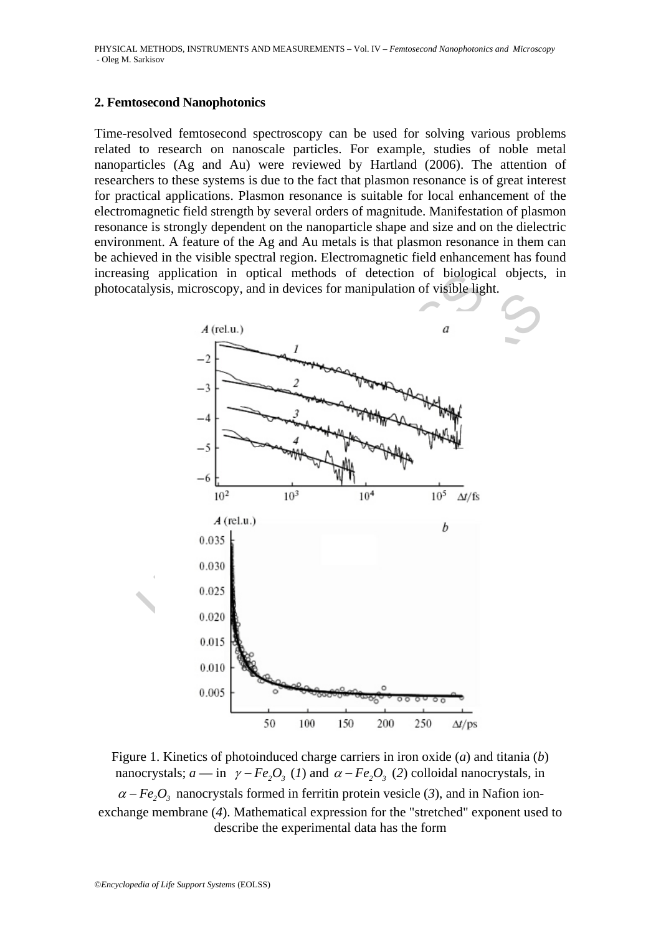#### **2. Femtosecond Nanophotonics**

Time-resolved femtosecond spectroscopy can be used for solving various problems related to research on nanoscale particles. For example, studies of noble metal nanoparticles (Ag and Au) were reviewed by Hartland (2006). The attention of researchers to these systems is due to the fact that plasmon resonance is of great interest for practical applications. Plasmon resonance is suitable for local enhancement of the electromagnetic field strength by several orders of magnitude. Manifestation of plasmon resonance is strongly dependent on the nanoparticle shape and size and on the dielectric environment. A feature of the Ag and Au metals is that plasmon resonance in them can be achieved in the visible spectral region. Electromagnetic field enhancement has found increasing application in optical methods of detection of biological objects, in photocatalysis, microscopy, and in devices for manipulation of visible light.



Figure 1. Kinetics of photoinduced charge carriers in iron oxide (*a*) and titania (*b*) nanocrystals;  $a - in$   $\gamma - Fe_2O_3$  (*1*) and  $\alpha - Fe_2O_3$  (*2*) colloidal nanocrystals, in  $\alpha - Fe_2O_3$  nanocrystals formed in ferritin protein vesicle (3), and in Nafion ionexchange membrane (*4*). Mathematical expression for the "stretched" exponent used to describe the experimental data has the form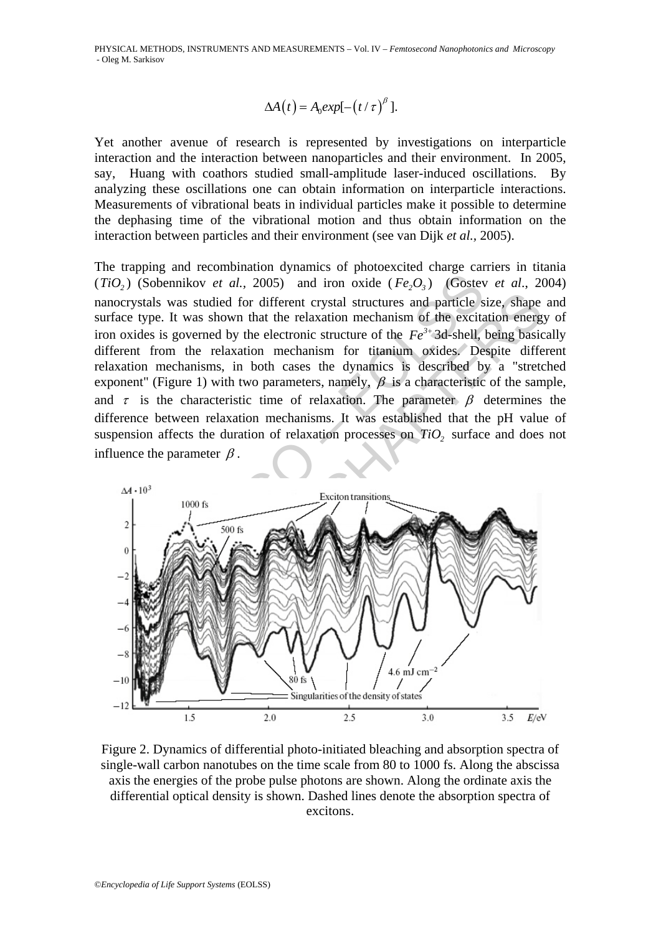$$
\Delta A(t) = A_0 exp[-(t/\tau)^{\beta}].
$$

Yet another avenue of research is represented by investigations on interparticle interaction and the interaction between nanoparticles and their environment. In 2005, say, Huang with coathors studied small-amplitude laser-induced oscillations. By analyzing these oscillations one can obtain information on interparticle interactions. Measurements of vibrational beats in individual particles make it possible to determine the dephasing time of the vibrational motion and thus obtain information on the interaction between particles and their environment (see van Dijk *et al.,* 2005).

(Sobennikov *et al.*, 2005) and iron oxide ( $Fe_2O_3$ ) (Gostev<br>stals was studied for different crystal structures and particle stype. It was shown that the relaxation mechanism of the excita<br>des is governed by the electron The trapping and recombination dynamics of photoexcited charge carriers in titania  $(TiO<sub>2</sub>)$  (Sobennikov *et al.*, 2005) and iron oxide  $(Fe<sub>2</sub>O<sub>2</sub>)$  (Gostev *et al.*, 2004) nanocrystals was studied for different crystal structures and particle size, shape and surface type. It was shown that the relaxation mechanism of the excitation energy of iron oxides is governed by the electronic structure of the  $Fe^{3+}$  3d-shell, being basically different from the relaxation mechanism for titanium oxides. Despite different relaxation mechanisms, in both cases the dynamics is described by a "stretched exponent" (Figure 1) with two parameters, namely,  $\beta$  is a characteristic of the sample, and  $\tau$  is the characteristic time of relaxation. The parameter  $\beta$  determines the difference between relaxation mechanisms. It was established that the pH value of suspension affects the duration of relaxation processes on  $TiO<sub>2</sub>$  surface and does not influence the parameter  $\beta$ .



Figure 2. Dynamics of differential photo-initiated bleaching and absorption spectra of single-wall carbon nanotubes on the time scale from 80 to 1000 fs. Along the abscissa axis the energies of the probe pulse photons are shown. Along the ordinate axis the differential optical density is shown. Dashed lines denote the absorption spectra of excitons.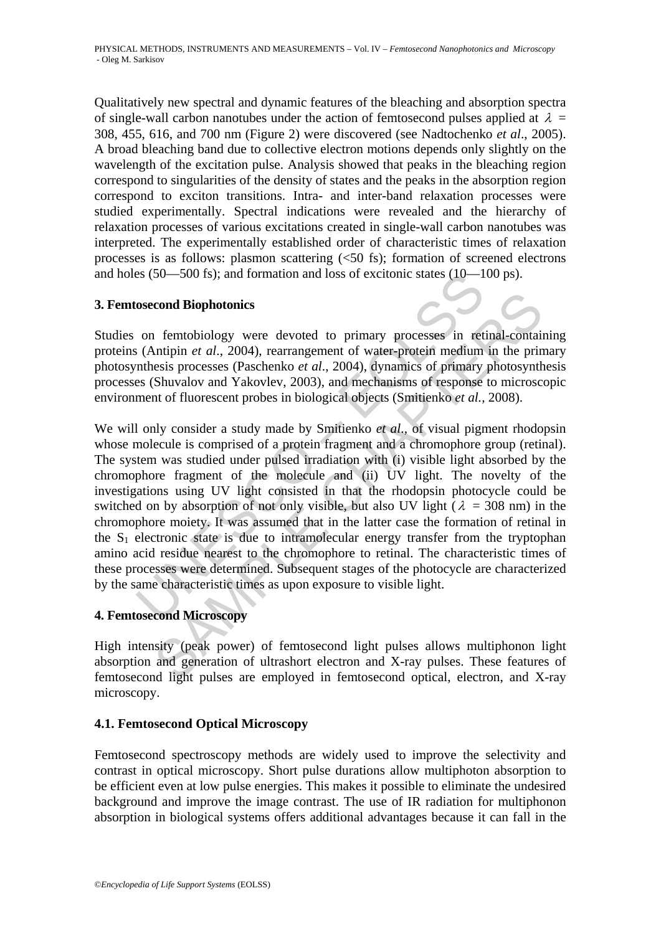Qualitatively new spectral and dynamic features of the bleaching and absorption spectra of single-wall carbon nanotubes under the action of femtosecond pulses applied at  $\lambda =$ 308, 455, 616, and 700 nm (Figure 2) were discovered (see Nadtochenko *et al*., 2005). A broad bleaching band due to collective electron motions depends only slightly on the wavelength of the excitation pulse. Analysis showed that peaks in the bleaching region correspond to singularities of the density of states and the peaks in the absorption region correspond to exciton transitions. Intra- and inter-band relaxation processes were studied experimentally. Spectral indications were revealed and the hierarchy of relaxation processes of various excitations created in single-wall carbon nanotubes was interpreted. The experimentally established order of characteristic times of relaxation processes is as follows: plasmon scattering (<50 fs); formation of screened electrons and holes (50—500 fs); and formation and loss of excitonic states (10—100 ps).

## **3. Femtosecond Biophotonics**

Studies on femtobiology were devoted to primary processes in retinal-containing proteins (Antipin *et al*., 2004), rearrangement of water-protein medium in the primary photosynthesis processes (Paschenko *et al*., 2004), dynamics of primary photosynthesis processes (Shuvalov and Yakovlev, 2003), and mechanisms of response to microscopic environment of fluorescent probes in biological objects (Smitienko *et al.,* 2008).

es (50—500 fs); and formation and loss of excitonic states (10—1<br>osecond Biophotonics<br>on femtobiology were devoted to primary processes in ret<br>is (Antipin *et al.*, 2004), rearrangement of water-protein medium<br>inthesis pr cond Biophotonics<br>
nemtobiology were devoted to primary processes in retinal-contain<br>
nutipin *et al.*, 2004), rearrangement of water-protein medium in the primary<br>
setsi processes (Paschenko *et al.*, 2004), dynamics of We will only consider a study made by Smitienko *et al*., of visual pigment rhodopsin whose molecule is comprised of a protein fragment and a chromophore group (retinal). The system was studied under pulsed irradiation with (i) visible light absorbed by the chromophore fragment of the molecule and (ii) UV light. The novelty of the investigations using UV light consisted in that the rhodopsin photocycle could be switched on by absorption of not only visible, but also UV light ( $\lambda = 308$  nm) in the chromophore moiety. It was assumed that in the latter case the formation of retinal in the  $S_1$  electronic state is due to intramolecular energy transfer from the tryptophan amino acid residue nearest to the chromophore to retinal. The characteristic times of these processes were determined. Subsequent stages of the photocycle are characterized by the same characteristic times as upon exposure to visible light.

## **4. Femtosecond Microscopy**

High intensity (peak power) of femtosecond light pulses allows multiphonon light absorption and generation of ultrashort electron and X-ray pulses. These features of femtosecond light pulses are employed in femtosecond optical, electron, and X-ray microscopy.

## **4.1. Femtosecond Optical Microscopy**

Femtosecond spectroscopy methods are widely used to improve the selectivity and contrast in optical microscopy. Short pulse durations allow multiphoton absorption to be efficient even at low pulse energies. This makes it possible to eliminate the undesired background and improve the image contrast. The use of IR radiation for multiphonon absorption in biological systems offers additional advantages because it can fall in the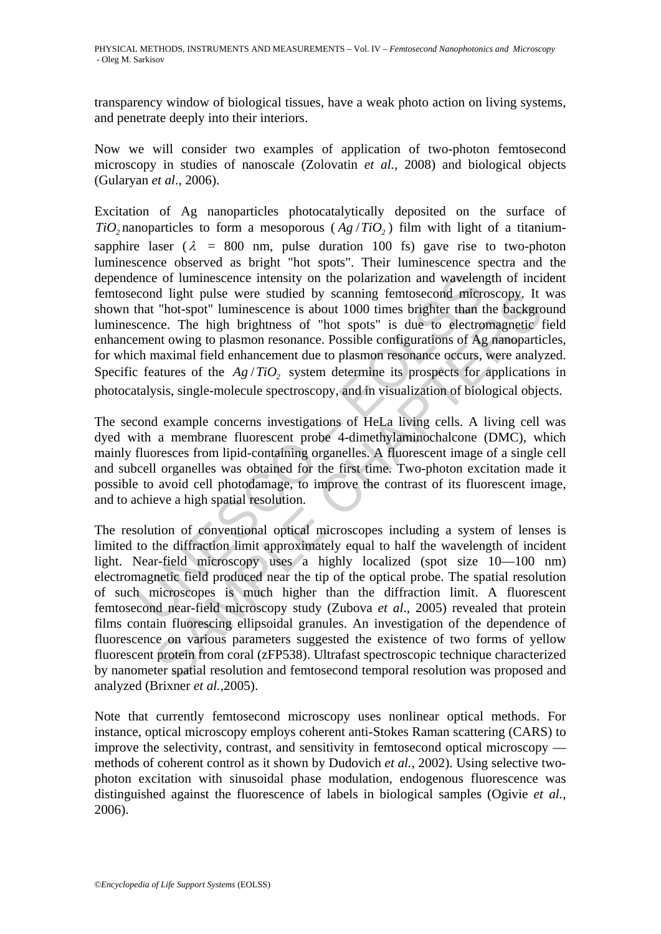transparency window of biological tissues, have a weak photo action on living systems, and penetrate deeply into their interiors.

Now we will consider two examples of application of two-photon femtosecond microscopy in studies of nanoscale (Zolovatin *et al.,* 2008) and biological objects (Gularyan *et al*., 2006).

ence of luminescence intensity on the polarization and wavelen;<br>cond light pulse were studied by scanning femtosecond micret<br>hat "hot-spot" luminescence is about 1000 times brighter than t<br>cence. The high brightness of "h Excitation of Ag nanoparticles photocatalytically deposited on the surface of *TiO<sub>2</sub>* nanoparticles to form a mesoporous  $(Ag/TiO<sub>2</sub>)$  film with light of a titaniumsapphire laser ( $\lambda$  = 800 nm, pulse duration 100 fs) gave rise to two-photon luminescence observed as bright "hot spots". Their luminescence spectra and the dependence of luminescence intensity on the polarization and wavelength of incident femtosecond light pulse were studied by scanning femtosecond microscopy. It was shown that "hot-spot" luminescence is about 1000 times brighter than the background luminescence. The high brightness of "hot spots" is due to electromagnetic field enhancement owing to plasmon resonance. Possible configurations of Ag nanoparticles, for which maximal field enhancement due to plasmon resonance occurs, were analyzed. Specific features of the  $Ag/TiO$ , system determine its prospects for applications in photocatalysis, single-molecule spectroscopy, and in visualization of biological objects.

The second example concerns investigations of HeLa living cells. A living cell was dyed with a membrane fluorescent probe 4-dimethylaminochalcone (DMC), which mainly fluoresces from lipid-containing organelles. A fluorescent image of a single cell and subcell organelles was obtained for the first time. Two-photon excitation made it possible to avoid cell photodamage, to improve the contrast of its fluorescent image, and to achieve a high spatial resolution.

In the busine were studied by scanning femtoscoord microscopy. It<br>
"hot-spot" luminescence is about 1000 times brighter than the backgre-<br>
ince. The high brightness of "hot spots" is due to electromagnetic into<br>
oriec. Th The resolution of conventional optical microscopes including a system of lenses is limited to the diffraction limit approximately equal to half the wavelength of incident light. Near-field microscopy uses a highly localized (spot size 10—100 nm) electromagnetic field produced near the tip of the optical probe. The spatial resolution of such microscopes is much higher than the diffraction limit. A fluorescent femtosecond near-field microscopy study (Zubova *et al*., 2005) revealed that protein films contain fluorescing ellipsoidal granules. An investigation of the dependence of fluorescence on various parameters suggested the existence of two forms of yellow fluorescent protein from coral (zFP538). Ultrafast spectroscopic technique characterized by nanometer spatial resolution and femtosecond temporal resolution was proposed and analyzed (Brixner *et al.,*2005).

Note that currently femtosecond microscopy uses nonlinear optical methods. For instance, optical microscopy employs coherent anti-Stokes Raman scattering (CARS) to improve the selectivity, contrast, and sensitivity in femtosecond optical microscopy methods of coherent control as it shown by Dudovich *et al.,* 2002). Using selective twophoton excitation with sinusoidal phase modulation, endogenous fluorescence was distinguished against the fluorescence of labels in biological samples (Ogivie *et al.,* 2006).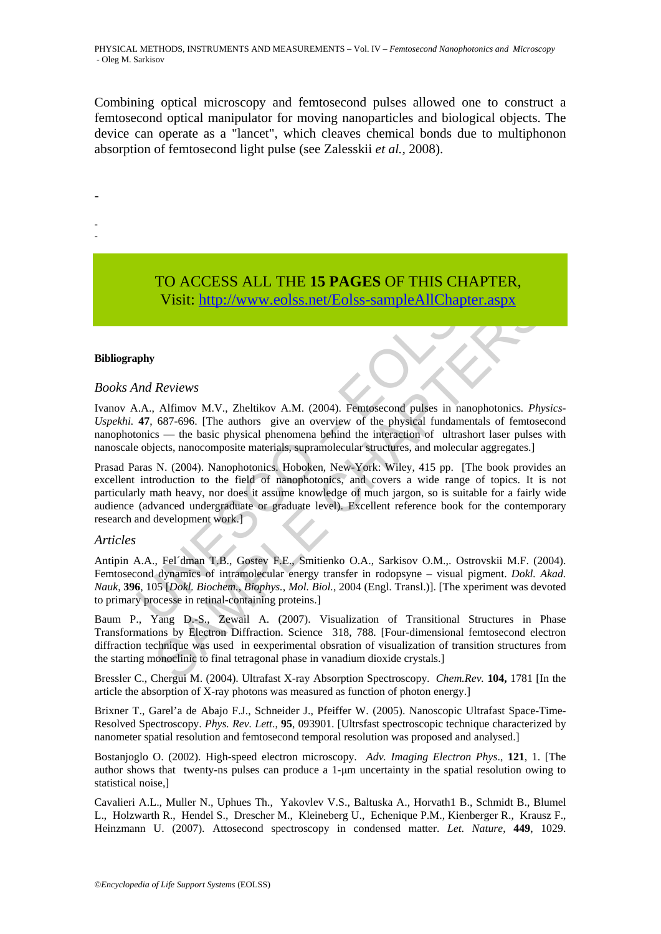Combining optical microscopy and femtosecond pulses allowed one to construct a femtosecond optical manipulator for moving nanoparticles and biological objects. The device can operate as a "lancet", which cleaves chemical bonds due to multiphonon absorption of femtosecond light pulse (see Zalesskii *et al.,* 2008).

- -

-

# TO ACCESS ALL THE **15 PAGES** OF THIS CHAPTER, Visit: http://www.eolss.net/Eolss-sampleAllChapter.aspx

#### **Bibliography**

#### *Books And Reviews*

Ivanov A.A., Alfimov M.V., Zheltikov A.M. (2004). Femtosecond pulses in nanophotonics*. Physics*-*Uspekhi.* **47**, 687-696. [The authors give an overview of the physical fundamentals of femtosecond nanophotonics — the basic physical phenomena behind the interaction of ultrashort laser pulses with nanoscale objects, nanocomposite materials, supramolecular structures, and molecular aggregates.]

TO ACCESS ALL THE 15 PAGES OF THIS CHAP<br>Visit: http://www.eolss.net/Eolss-sampleAllChapter.<br>
What Reviews<br>
M.A., Alfimov M.V., Zheltikov A.M. (2004). Femtosecond pulses in nanop<br>
47, 687-696. [The authors give an overview **Visit:** http://www.eolss.net/Eolss-sampleAllChapter.aspx<br>
Reviews<br>
Alfimov M.V., Zheltikov A.M. (2004). Femtosecond pulses in nanophotonics.  $Ph_0$ <br>
687-696. [The authors give an overview of the physical fundamentals of f Prasad Paras N. (2004). Nanophotonics. Hoboken, New-York: Wiley, 415 pp. [The book provides an excellent introduction to the field of nanophotonics, and covers a wide range of topics. It is not particularly math heavy, nor does it assume knowledge of much jargon, so is suitable for a fairly wide audience (advanced undergraduate or graduate level). Excellent reference book for the contemporary research and development work.]

#### *Articles*

Antipin A.A., Fel´dman T.B., Gostev F.E., Smitienko O.A., Sarkisov O.M.,. Ostrovskii M.F. (2004). Femtosecond dynamics of intramolecular energy transfer in rodopsyne – visual pigment. *Dokl. Akad. Nauk*, **396**, 105 [*Dokl. Biochem.*, *Biophys.*, *Mol. Biol.*, 2004 (Engl. Transl.)]. [The xperiment was devoted to primary processe in retinal-containing proteins.]

Baum P., Yang D.-S., Zewail A. (2007). Visualization of Transitional Structures in Phase Transformations by Electron Diffraction. Science 318, 788. [Four-dimensional femtosecond electron diffraction technique was used in eexperimental obsration of visualization of transition structures from the starting monoclinic to final tetragonal phase in vanadium dioxide crystals.]

Bressler C., Chergui M. (2004). Ultrafast X-ray Absorption Spectroscopy. *Chem.Rev.* **104,** 1781 [In the article the absorption of X-ray photons was measured as function of photon energy.]

Brixner T., Garel'a de Abajo F.J., Schneider J., Pfeiffer W. (2005). Nanoscopic Ultrafast Space-Time-Resolved Spectroscopy. *Phys. Rev. Lett*., **95**, 093901. [Ultrsfast spectroscopic technique characterized by nanometer spatial resolution and femtosecond temporal resolution was proposed and analysed.]

Bostanjoglo O. (2002). High-speed electron microscopy. *Adv. Imaging Electron Phys*., **121**, 1. [The author shows that twenty-ns pulses can produce a 1-μm uncertainty in the spatial resolution owing to statistical noise,]

Cavalieri A.L., Muller N., Uphues Th., Yakovlev V.S., Baltuska A., Horvath1 B., Schmidt B., Blumel L., Holzwarth R., Hendel S., Drescher M., Kleineberg U., Echenique P.M., Kienberger R., Krausz F., Heinzmann U. (2007). Attosecond spectroscopy in condensed matter. *Let*. *Nature*, **449**, 1029.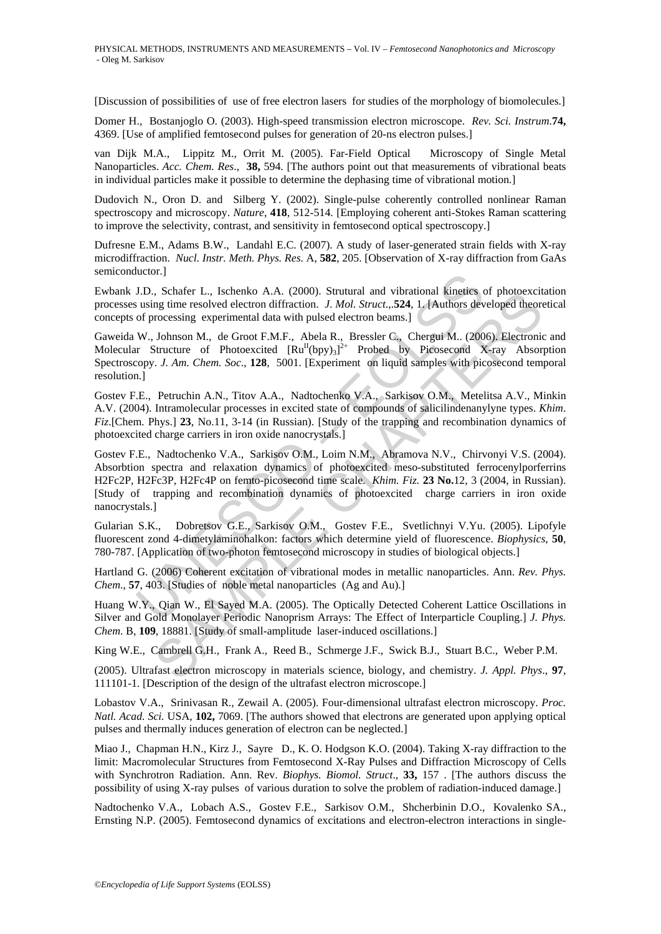[Discussion of possibilities of use of free electron lasers for studies of the morphology of biomolecules.]

Domer H., Bostanjoglo O. (2003). High-speed transmission electron microscope. *Rev. Sci. Instrum*.**74,**  4369. [Use of amplified femtosecond pulses for generation of 20-ns electron pulses.]

van Dijk M.A., Lippitz M., Orrit M. (2005). Far-Field Optical Microscopy of Single Metal Nanoparticles. *Acc. Chem. Res*., **38,** 594. [The authors point out that measurements of vibrational beats in individual particles make it possible to determine the dephasing time of vibrational motion.]

Dudovich N., Oron D. and Silberg Y. (2002). Single-pulse coherently controlled nonlinear Raman spectroscopy and microscopy. *Nature*, **418**, 512-514. [Employing coherent anti-Stokes Raman scattering to improve the selectivity, contrast, and sensitivity in femtosecond optical spectroscopy.]

Dufresne E.M., Adams B.W., Landahl E.C. (2007). A study of laser-generated strain fields with X-ray microdiffraction. *Nucl. Instr. Meth. Phys. Res*. A, **582**, 205. [Observation of X-ray diffraction from GaAs semiconductor.]

Ewbank J.D., Schafer L., Ischenko A.A. (2000). Strutural and vibrational kinetics of photoexcitation processes using time resolved electron diffraction. *J*. *Mol. Struct*.,.**524**, 1. [Authors developed theoretical concepts of processing experimental data with pulsed electron beams.]

Gaweida W., Johnson M., de Groot F.M.F., Abela R., Bressler C., Chergui M.. (2006). Electronic and Molecular Structure of Photoexcited  $[Ru^{II}(bpy)_3]^{2+}$  Probed by Picosecond X-ray Absorption Spectroscopy. *J. Am. Chem. Soc*., **128**, 5001. [Experiment on liquid samples with picosecond temporal resolution.]

Gostev F.E., Petruchin A.N., Titov A.A., Nadtochenko V.A., Sarkisov O.M., Metelitsa A.V., Minkin A.V. (2004). Intramolecular processes in excited state of compounds of salicilindenanylyne types. *Khim*. *Fiz*.[Chem. Phys.] **23**, No.11, 3-14 (in Russian). [Study of the trapping and recombination dynamics of photoexcited charge carriers in iron oxide nanocrystals.]

uctor.<sub>1</sub><br>
1.D., Schafer L., Ischenko A.A. (2000). Strutural and vibrational kineties to<br>
using time resolved electron diffraction. *J. Mol. Struct.*,**524**, 1. [Authors dev<br>
of processing experimental data with pulsed elec , Schare L., Istonenko A.A., (2000). Surlutari and vibrational Kingles of pnotecketing<br>
mg mine resolved electron diffraction. *J. Mol. Struct.*, **524**, 1, [Authors developed theor<br>
orocessing experimental data with pulse Gostev F.E., Nadtochenko V.A., Sarkisov O.M., Loim N.M., Abramova N.V., Chirvonyi V.S. (2004). Absorbtion spectra and relaxation dynamics of photoexcited meso-substituted ferrocenylporferrins H2Fc2P, H2Fc3P, H2Fc4P on femto-picosecond time scale. *Khim. Fiz.* **23 No.**12, 3 (2004, in Russian). [Study of trapping and recombination dynamics of photoexcited charge carriers in iron oxide nanocrystals.]

Gularian S.K., Dobretsov G.E., Sarkisov O.M., Gostev F.E., Svetlichnyi V.Yu. (2005). Lipofyle fluorescent zond 4-dimetylaminohalkon: factors which determine yield of fluorescence. *Biophysics*, **50**, 780-787. [Application of two-photon femtosecond microscopy in studies of biological objects.]

Hartland G. (2006) Coherent excitation of vibrational modes in metallic nanoparticles. Ann. *Rev. Phys. Chem*., **57**, 403. [Studies of noble metal nanoparticles (Ag and Au).]

Huang W.Y., Qian W., El Sayed M.A. (2005). The Optically Detected Coherent Lattice Oscillations in Silver and Gold Monolayer Periodic Nanoprism Arrays: The Effect of Interparticle Coupling.] *J. Phys. Chem*. B, **109**, 18881. [Study of small-amplitude laser-induced oscillations.]

King W.E., Cambrell G.H., Frank A., Reed B., Schmerge J.F., Swick B.J., Stuart B.C., Weber P.M.

(2005). Ultrafast electron microscopy in materials science, biology, and chemistry. *J. Appl. Phys*., **97**, 111101-1. [Description of the design of the ultrafast electron microscope.]

Lobastov V.A., Srinivasan R., Zewail A. (2005). Four-dimensional ultrafast electron microscopy. *Proc. Natl. Acad. Sci.* USA, **102,** 7069. [The authors showed that electrons are generated upon applying optical pulses and thermally induces generation of electron can be neglected.]

Miao J., Chapman H.N., Kirz J., Sayre D., K. O. Hodgson K.O. (2004). Taking X-ray diffraction to the limit: Macromolecular Structures from Femtosecond X-Ray Pulses and Diffraction Microscopy of Cells with Synchrotron Radiation. Ann. Rev. *Biophys. Biomol. Struct*., **33,** 157 . [The authors discuss the possibility of using X-ray pulses of various duration to solve the problem of radiation-induced damage.]

Nadtochenko V.A., Lobach A.S., Gostev F.E., Sarkisov O.M., Shcherbinin D.O., Kovalenko SA., Ernsting N.P. (2005). Femtosecond dynamics of excitations and electron-electron interactions in single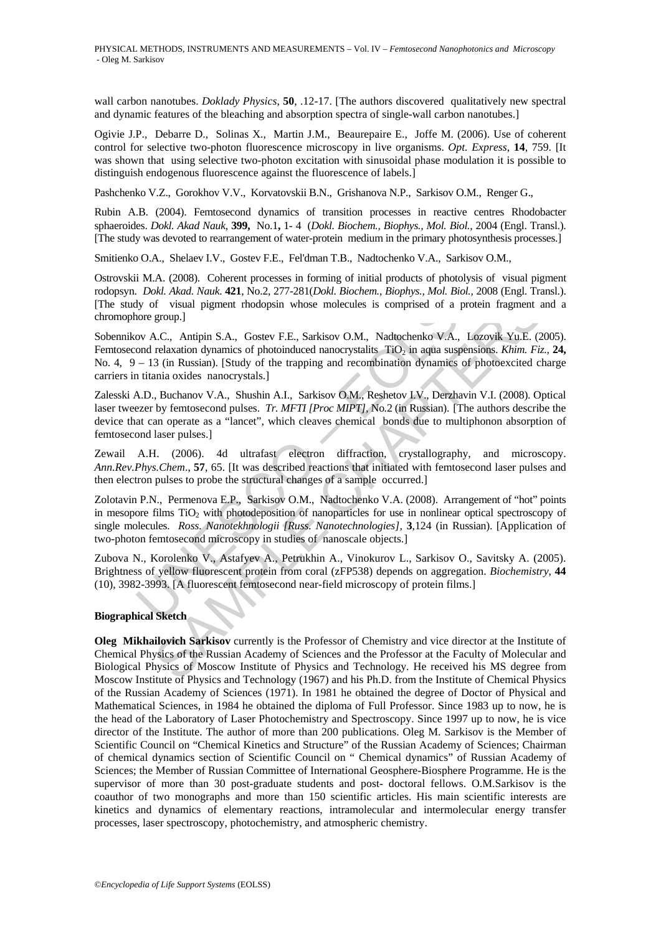wall carbon nanotubes. *Doklady Physics*, **50**, .12-17. [The authors discovered qualitatively new spectral and dynamic features of the bleaching and absorption spectra of single-wall carbon nanotubes.]

Ogivie J.P., Debarre D., Solinas X., Martin J.M., Beaurepaire E., Joffe M. (2006). Use of coherent control for selective two-photon fluorescence microscopy in live organisms. *Opt. Express*, **14**, 759. [It was shown that using selective two-photon excitation with sinusoidal phase modulation it is possible to distinguish endogenous fluorescence against the fluorescence of labels.]

Pashchenko V.Z., Gorokhov V.V., Korvatovskii B.N., Grishanova N.P., Sarkisov O.M., Renger G.,

Rubin A.B. (2004). Femtosecond dynamics of transition processes in reactive centres Rhodobacter sphaeroides. *Dokl. Akad Nauk,* **399,** No.1**,** 1- 4 (*Dokl. Biochem., Biophys., Mol. Biol.,* 2004 (Engl. Transl.). [The study was devoted to rearrangement of water-protein medium in the primary photosynthesis processes.]

Smitienko O.A., Shelaev I.V., Gostev F.E., Fel'dman T.B., Nadtochenko V.A., Sarkisov O.M.,

Ostrovskii M.A. (2008). Coherent processes in forming of initial products of photolysis of visual pigment rodopsyn. *Dokl. Akad. Nauk*. **421**, No.2, 277-281(*Dokl. Biochem., Biophys., Mol. Biol.,* 2008 (Engl. Transl.). [The study of visual pigment rhodopsin whose molecules is comprised of a protein fragment and a chromophore group.]

i M.A. (2008). Coherent processes in forming of initial products of photolysis<br>
Dokl. *Roal. Nauk.* 421, No.2, 277-281(*Dokl. Biochem., Biophys., Mol. Biol.*, 20<br>
Joy of visual pigment rhodopsin whose molecules is comprise *SK. Rata, Natur.* 441, No.2, 2/1-281(*LOME. Biochem, Biophys, Mol. Biol., 2008* (they issued pigment agroup).<br>
If sixtual pigment Rodops Fl. Sarkisov O.M., Nadtochenko V.A., Lozovik Yu.E. (2<br>
16. C., Antipin S.A., Gostev Sobennikov A.C., Antipin S.A., Gostev F.E., Sarkisov O.M., Nadtochenko V.A., Lozovik Yu.E. (2005). Femtosecond relaxation dynamics of photoinduced nanocrystalits TiO<sub>2</sub> in aqua suspensions. *Khim. Fiz.*, 24, No. 4,  $9 - 13$  (in Russian). [Study of the trapping and recombination dynamics of photoexcited charge carriers in titania oxides nanocrystals.]

Zalesski A.D., Buchanov V.A., Shushin A.I., Sarkisov O.M., Reshetov I.V., Derzhavin V.I. (2008). Optical laser tweezer by femtosecond pulses. *Tr. MFTI [Proc MIPT],* No*.*2 (in Russian). [The authors describe the device that can operate as a "lancet", which cleaves chemical bonds due to multiphonon absorption of femtosecond laser pulses.]

Zewail A.H. (2006). 4d ultrafast electron diffraction, crystallography, and microscopy. *Ann.Rev.Phys.Chem*., **57**, 65. [It was described reactions that initiated with femtosecond laser pulses and then electron pulses to probe the structural changes of a sample occurred.]

Zolotavin P.N., Permenova E.P., Sarkisov O.M., Nadtochenko V.A. (2008). Arrangement of "hot" points in mesopore films  $TiO<sub>2</sub>$  with photodeposition of nanoparticles for use in nonlinear optical spectroscopy of single molecules. *Ross. Nanotekhnologii [Russ. Nanotechnologies],* **3**,124 (in Russian). [Application of two-photon femtosecond microscopy in studies of nanoscale objects.]

Zubova N., Korolenko V., Astafyev A., Petrukhin A., Vinokurov L., Sarkisov O., Savitsky A. (2005). Brightness of yellow fluorescent protein from coral (zFP538) depends on aggregation. *Biochemistry*, **44** (10), 3982-3993. [A fluorescent femtosecond near-field microscopy of protein films.]

#### **Biographical Sketch**

**Oleg Mikhailovich Sarkisov** currently is the Professor of Chemistry and vice director at the Institute of Chemical Physics of the Russian Academy of Sciences and the Professor at the Faculty of Molecular and Biological Physics of Moscow Institute of Physics and Technology. He received his MS degree from Moscow Institute of Physics and Technology (1967) and his Ph.D. from the Institute of Chemical Physics of the Russian Academy of Sciences (1971). In 1981 he obtained the degree of Doctor of Physical and Mathematical Sciences, in 1984 he obtained the diploma of Full Professor. Since 1983 up to now, he is the head of the Laboratory of Laser Photochemistry and Spectroscopy. Since 1997 up to now, he is vice director of the Institute. The author of more than 200 publications. Oleg M. Sarkisov is the Member of Scientific Council on "Chemical Kinetics and Structure" of the Russian Academy of Sciences; Chairman of chemical dynamics section of Scientific Council on " Chemical dynamics" of Russian Academy of Sciences; the Member of Russian Committee of International Geosphere-Biosphere Programme. He is the supervisor of more than 30 post-graduate students and post- doctoral fellows. O.M.Sarkisov is the coauthor of two monographs and more than 150 scientific articles. His main scientific interests are kinetics and dynamics of elementary reactions, intramolecular and intermolecular energy transfer processes, laser spectroscopy, photochemistry, and atmospheric chemistry.